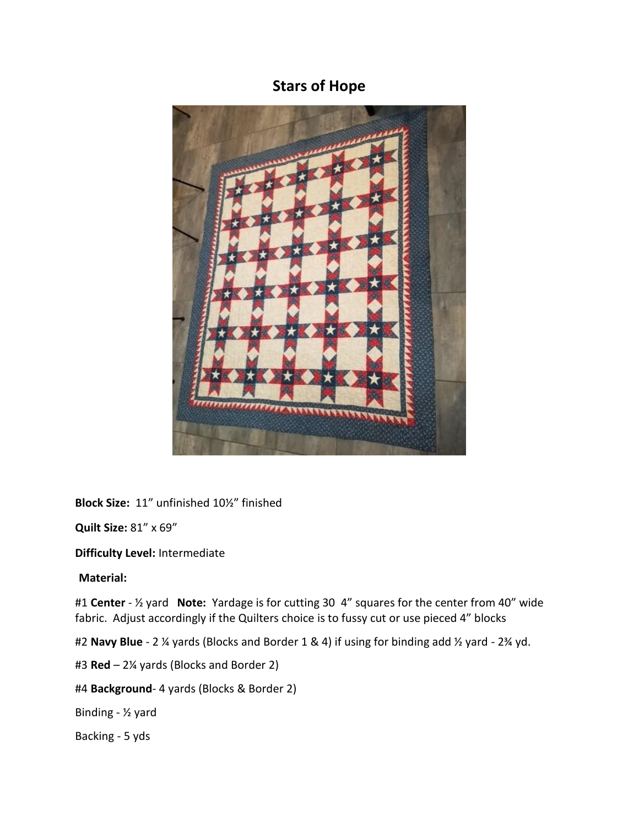## **Stars of Hope**



**Block Size:** 11" unfinished 10½" finished

**Quilt Size:** 81" x 69"

**Difficulty Level:** Intermediate

**Material:**

#1 **Center** - ½ yard **Note:** Yardage is for cutting 30 4" squares for the center from 40" wide fabric. Adjust accordingly if the Quilters choice is to fussy cut or use pieced 4" blocks

#2 **Navy Blue** - 2 ¼ yards (Blocks and Border 1 & 4) if using for binding add ½ yard - 2¾ yd.

#3 **Red** – 2¼ yards (Blocks and Border 2)

#4 **Background**- 4 yards (Blocks & Border 2)

Binding - ½ yard

Backing - 5 yds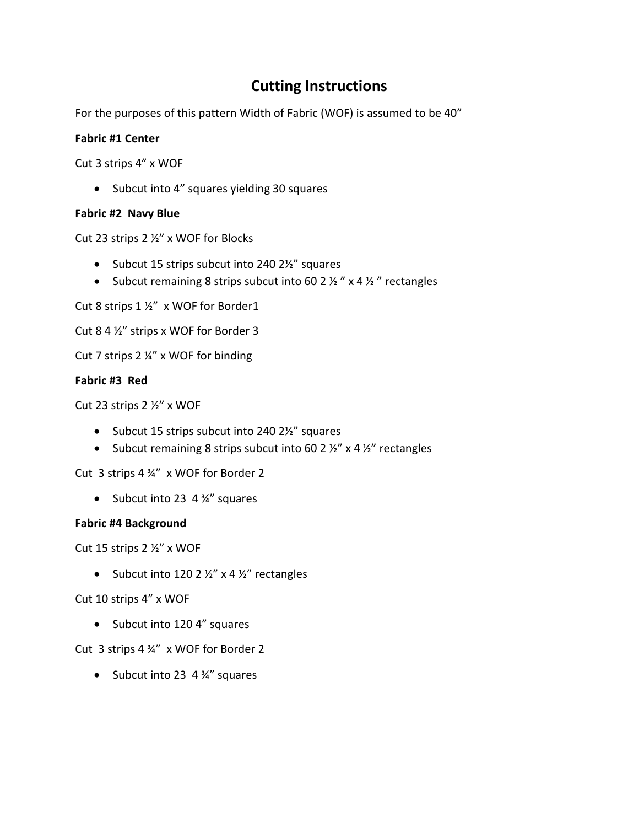# **Cutting Instructions**

For the purposes of this pattern Width of Fabric (WOF) is assumed to be 40"

### **Fabric #1 Center**

Cut 3 strips 4" x WOF

• Subcut into 4" squares yielding 30 squares

### **Fabric #2 Navy Blue**

Cut 23 strips 2 ½" x WOF for Blocks

- Subcut 15 strips subcut into 240 2½" squares
- Subcut remaining 8 strips subcut into 60 2  $\frac{1}{2}$   $\frac{1}{2}$   $\frac{1}{2}$   $\frac{1}{2}$   $\frac{1}{2}$  rectangles

Cut 8 strips 1 ½" x WOF for Border1

Cut 8 4 ½" strips x WOF for Border 3

Cut 7 strips 2 ¼" x WOF for binding

### **Fabric #3 Red**

Cut 23 strips 2 ½" x WOF

- Subcut 15 strips subcut into 240 2½" squares
- Subcut remaining 8 strips subcut into 60 2  $\frac{1}{2}$ " x 4  $\frac{1}{2}$ " rectangles

Cut 3 strips 4 ¾" x WOF for Border 2

• Subcut into 23 4 ¾" squares

#### **Fabric #4 Background**

Cut 15 strips 2 ½" x WOF

• Subcut into 120 2  $\frac{1}{2}$ " x 4  $\frac{1}{2}$ " rectangles

Cut 10 strips 4" x WOF

• Subcut into 120 4" squares

## Cut 3 strips 4 ¾" x WOF for Border 2

• Subcut into 23 4 ¾" squares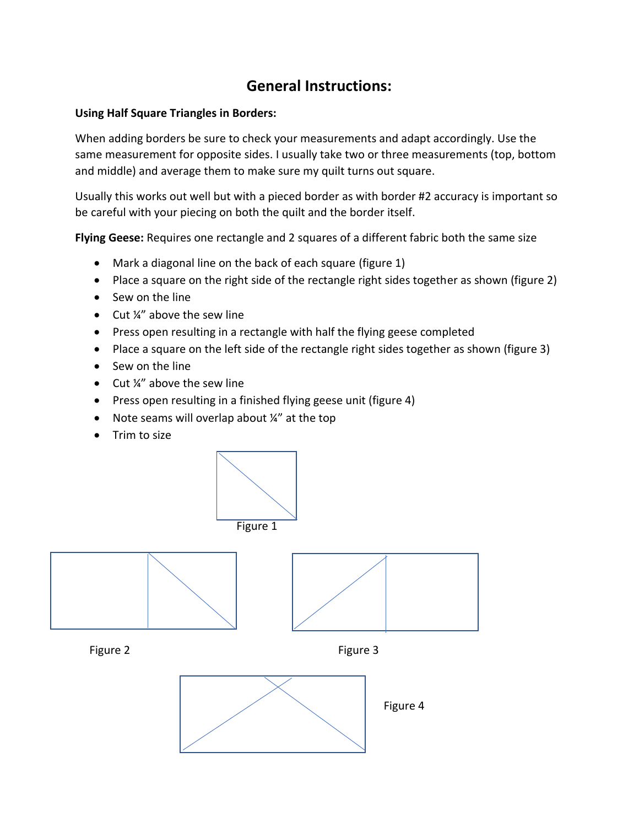## **General Instructions:**

### **Using Half Square Triangles in Borders:**

When adding borders be sure to check your measurements and adapt accordingly. Use the same measurement for opposite sides. I usually take two or three measurements (top, bottom and middle) and average them to make sure my quilt turns out square.

Usually this works out well but with a pieced border as with border #2 accuracy is important so be careful with your piecing on both the quilt and the border itself.

**Flying Geese:** Requires one rectangle and 2 squares of a different fabric both the same size

- Mark a diagonal line on the back of each square (figure 1)
- Place a square on the right side of the rectangle right sides together as shown (figure 2)
- Sew on the line
- Cut ¼" above the sew line
- Press open resulting in a rectangle with half the flying geese completed
- Place a square on the left side of the rectangle right sides together as shown (figure 3)
- Sew on the line
- Cut ¼" above the sew line
- Press open resulting in a finished flying geese unit (figure 4)
- Note seams will overlap about ¼" at the top
- Trim to size



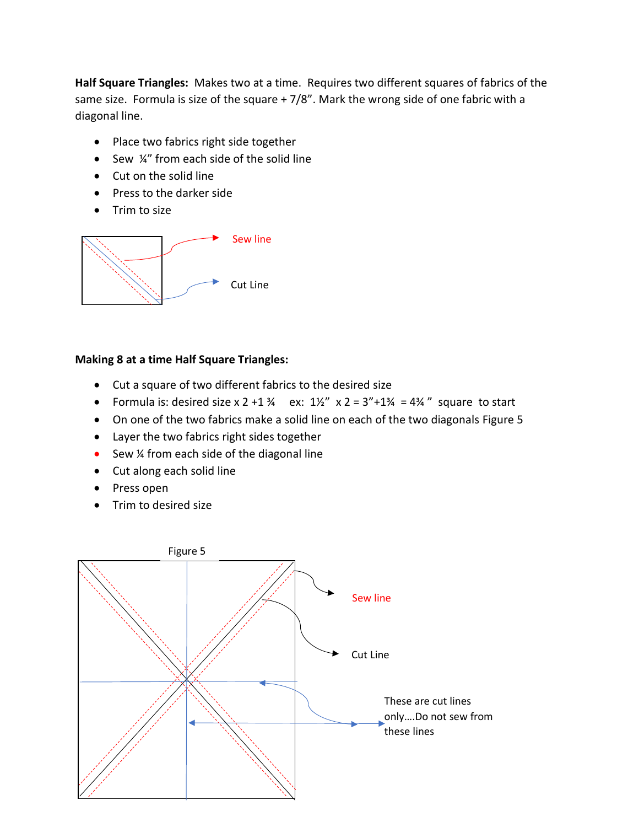**Half Square Triangles:** Makes two at a time. Requires two different squares of fabrics of the same size. Formula is size of the square + 7/8". Mark the wrong side of one fabric with a diagonal line.

- Place two fabrics right side together
- Sew  $\frac{1}{4}$ " from each side of the solid line
- Cut on the solid line
- Press to the darker side
- Trim to size



## **Making 8 at a time Half Square Triangles:**

- Cut a square of two different fabrics to the desired size
- Formula is: desired size  $x$  2 +1  $\frac{3}{4}$  ex:  $\frac{1}{2}$   $x$  2 = 3"+1 $\frac{3}{4}$  = 4 $\frac{3}{4}$ " square to start
- On one of the two fabrics make a solid line on each of the two diagonals Figure 5
- Layer the two fabrics right sides together
- Sew 1/4 from each side of the diagonal line
- Cut along each solid line
- Press open
- Trim to desired size

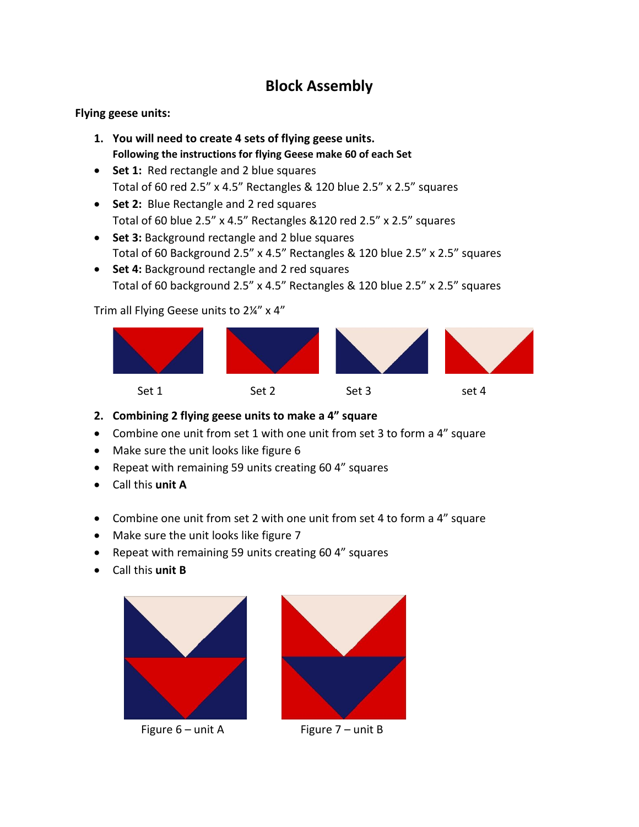# **Block Assembly**

### **Flying geese units:**

- **1. You will need to create 4 sets of flying geese units. Following the instructions for flying Geese make 60 of each Set**
- **Set 1:** Red rectangle and 2 blue squares Total of 60 red 2.5" x 4.5" Rectangles & 120 blue 2.5" x 2.5" squares
- **Set 2:** Blue Rectangle and 2 red squares Total of 60 blue 2.5" x 4.5" Rectangles &120 red 2.5" x 2.5" squares
- **Set 3:** Background rectangle and 2 blue squares Total of 60 Background 2.5" x 4.5" Rectangles & 120 blue 2.5" x 2.5" squares
- **Set 4:** Background rectangle and 2 red squares Total of 60 background 2.5" x 4.5" Rectangles & 120 blue 2.5" x 2.5" squares

Trim all Flying Geese units to 2¼" x 4"



- **2. Combining 2 flying geese units to make a 4" square**
- Combine one unit from set 1 with one unit from set 3 to form a 4" square
- Make sure the unit looks like figure 6
- Repeat with remaining 59 units creating 60 4" squares
- Call this **unit A**
- Combine one unit from set 2 with one unit from set 4 to form a 4" square
- Make sure the unit looks like figure 7
- Repeat with remaining 59 units creating 60 4" squares
- Call this **unit B**





Figure  $6 -$ unit A Figure  $7 -$ unit B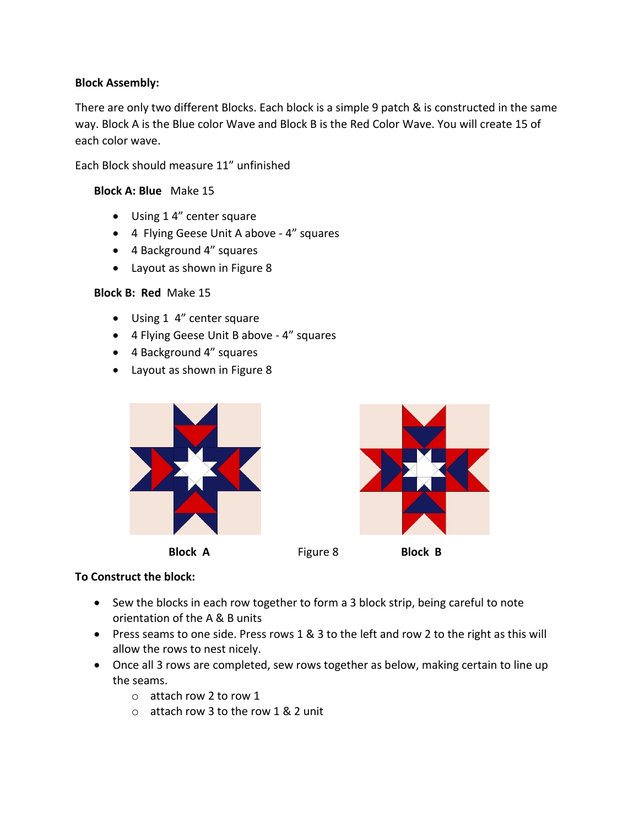#### **Block Assembly:**

There are only two different Blocks. Each block is a simple 9 patch & is constructed in the same way. Block A is the Blue color Wave and Block B is the Red Color Wave. You will create 15 of each color wave.

Each Block should measure 11" unfinished

#### **Block A: Blue** Make 15

- Using 1 4" center square
- 4 Flying Geese Unit A above 4" squares
- 4 Background 4" squares
- Layout as shown in Figure 8

#### **Block B: Red** Make 15

- Using 1 4" center square
- 4 Flying Geese Unit B above 4" squares
- 4 Background 4" squares
- Layout as shown in Figure 8



#### **To Construct the block:**

- Sew the blocks in each row together to form a 3 block strip, being careful to note orientation of the A & B units
- Press seams to one side. Press rows 1 & 3 to the left and row 2 to the right as this will allow the rows to nest nicely.
- Once all 3 rows are completed, sew rows together as below, making certain to line up the seams.
	- o attach row 2 to row 1
	- o attach row 3 to the row 1 & 2 unit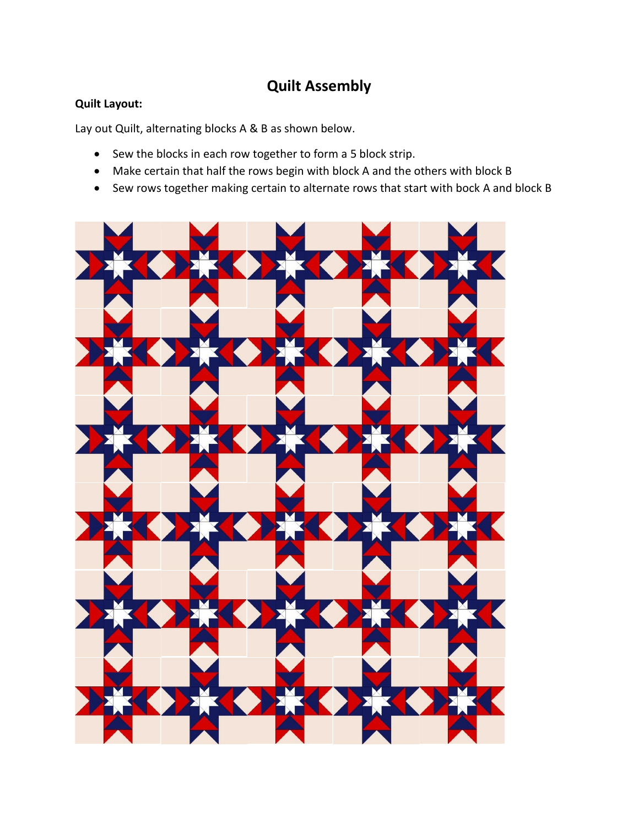# **Quilt Assembly**

## **Quilt Layout:**

Lay out Quilt, alternating blocks A & B as shown below.

- Sew the blocks in each row together to form a 5 block strip.
- Make certain that half the rows begin with block A and the others with block B
- Sew rows together making certain to alternate rows that start with bock A and block B

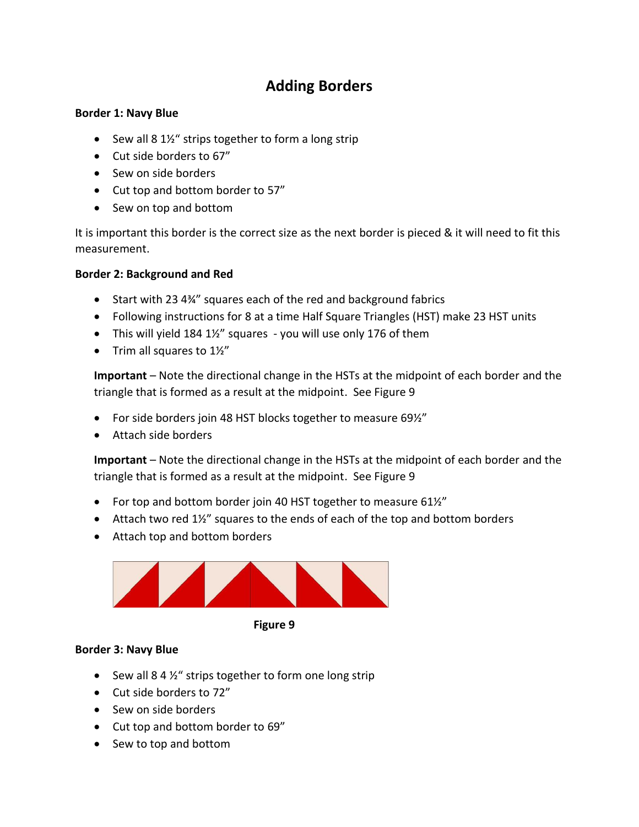# **Adding Borders**

#### **Border 1: Navy Blue**

- Sew all 8 1½" strips together to form a long strip
- Cut side borders to 67"
- Sew on side borders
- Cut top and bottom border to 57"
- Sew on top and bottom

It is important this border is the correct size as the next border is pieced & it will need to fit this measurement.

## **Border 2: Background and Red**

- Start with 23 4¼" squares each of the red and background fabrics
- Following instructions for 8 at a time Half Square Triangles (HST) make 23 HST units
- This will yield 184  $1\frac{1}{2}$ " squares you will use only 176 of them
- Trim all squares to  $1\frac{1}{2}$ "

**Important** – Note the directional change in the HSTs at the midpoint of each border and the triangle that is formed as a result at the midpoint. See Figure 9

- For side borders join 48 HST blocks together to measure 69%"
- Attach side borders

**Important** – Note the directional change in the HSTs at the midpoint of each border and the triangle that is formed as a result at the midpoint. See Figure 9

- For top and bottom border join 40 HST together to measure 61%"
- Attach two red  $1\frac{1}{2}$ " squares to the ends of each of the top and bottom borders
- Attach top and bottom borders



 **Figure 9**

## **Border 3: Navy Blue**

- Sew all 8 4 1/<sub>2</sub>" strips together to form one long strip
- Cut side borders to 72"
- Sew on side borders
- Cut top and bottom border to 69"
- Sew to top and bottom